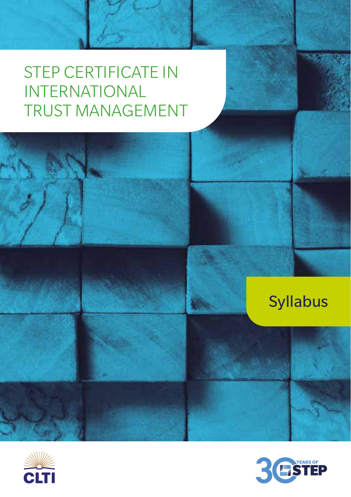# Syllabus



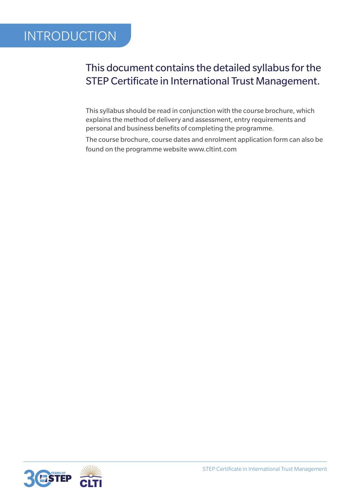## INTRODUCTION

### This document contains the detailed syllabus for the STEP Certificate in International Trust Management.

This syllabus should be read in conjunction with the course brochure, which explains the method of delivery and assessment, entry requirements and personal and business benefits of completing the programme.

The course brochure, course dates and enrolment application form can also be found on the programme website www.cltint.com

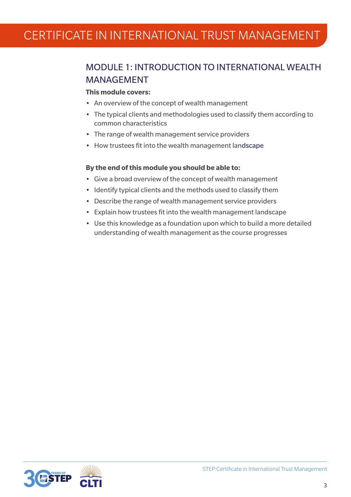### MODULE 1: INTRODUCTION TO INTERNATIONAL WEALTH MANAGEMENT

### **This module covers:**

- An overview of the concept of wealth management
- The typical clients and methodologies used to classify them according to common characteristics
- The range of wealth management service providers
- How trustees fit into the wealth management landscape

- Give a broad overview of the concept of wealth management
- Identify typical clients and the methods used to classify them
- Describe the range of wealth management service providers
- Explain how trustees fit into the wealth management landscape
- Use this knowledge as a foundation upon which to build a more detailed understanding of wealth management as the course progresses

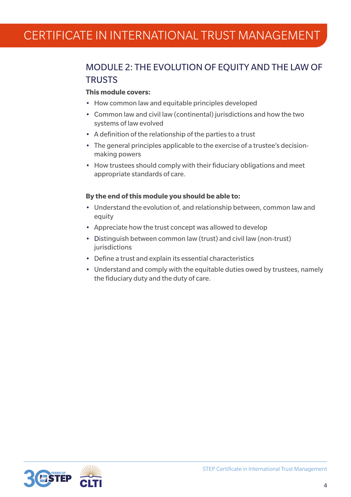### MODULE 2: THE EVOLUTION OF EQUITY AND THE LAW OF **TRUSTS**

#### **This module covers:**

- How common law and equitable principles developed
- Common law and civil law (continental) jurisdictions and how the two systems of law evolved
- A definition of the relationship of the parties to a trust
- The general principles applicable to the exercise of a trustee's decisionmaking powers
- How trustees should comply with their fiduciary obligations and meet appropriate standards of care.

- Understand the evolution of, and relationship between, common law and equity
- Appreciate how the trust concept was allowed to develop
- Distinguish between common law (trust) and civil law (non-trust) iurisdictions
- Define a trust and explain its essential characteristics
- Understand and comply with the equitable duties owed by trustees, namely the fiduciary duty and the duty of care.

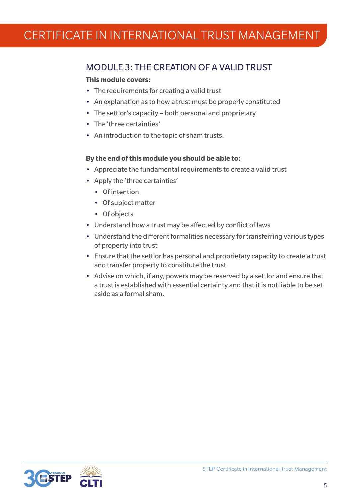### MODULE 3: THE CREATION OF A VALID TRUST

### **This module covers:**

- The requirements for creating a valid trust
- An explanation as to how a trust must be properly constituted
- The settlor's capacity both personal and proprietary
- The 'three certainties'
- An introduction to the topic of sham trusts.

- Appreciate the fundamental requirements to create a valid trust
- Apply the 'three certainties'
	- Of intention
	- Of subject matter
	- Of objects
- Understand how a trust may be affected by conflict of laws
- Understand the different formalities necessary for transferring various types of property into trust
- Ensure that the settlor has personal and proprietary capacity to create a trust and transfer property to constitute the trust
- Advise on which, if any, powers may be reserved by a settlor and ensure that a trust is established with essential certainty and that it is not liable to be set aside as a formal sham.

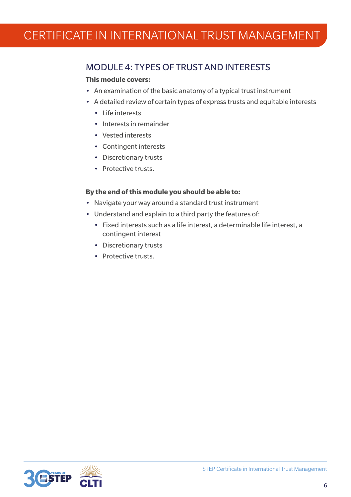### MODULE 4: TYPES OF TRUST AND INTERESTS

#### **This module covers:**

- An examination of the basic anatomy of a typical trust instrument
- A detailed review of certain types of express trusts and equitable interests
	- Life interests
	- Interests in remainder
	- Vested interests
	- Contingent interests
	- Discretionary trusts
	- Protective trusts.

- Navigate your way around a standard trust instrument
- Understand and explain to a third party the features of:
	- Fixed interests such as a life interest, a determinable life interest, a contingent interest
	- Discretionary trusts
	- Protective trusts.

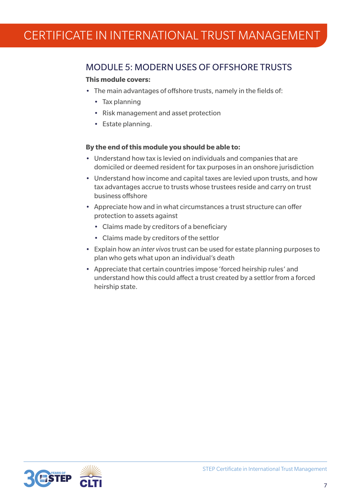### MODULE 5: MODERN USES OF OFFSHORE TRUSTS

### **This module covers:**

- The main advantages of offshore trusts, namely in the fields of:
	- Tax planning
	- Risk management and asset protection
	- Estate planning.

- Understand how tax is levied on individuals and companies that are domiciled or deemed resident for tax purposes in an onshore jurisdiction
- Understand how income and capital taxes are levied upon trusts, and how tax advantages accrue to trusts whose trustees reside and carry on trust business offshore
- Appreciate how and in what circumstances a trust structure can offer protection to assets against
	- Claims made by creditors of a beneficiary
	- Claims made by creditors of the settlor
- Explain how an *inter vivos* trust can be used for estate planning purposes to plan who gets what upon an individual's death
- Appreciate that certain countries impose 'forced heirship rules' and understand how this could affect a trust created by a settlor from a forced heirship state.

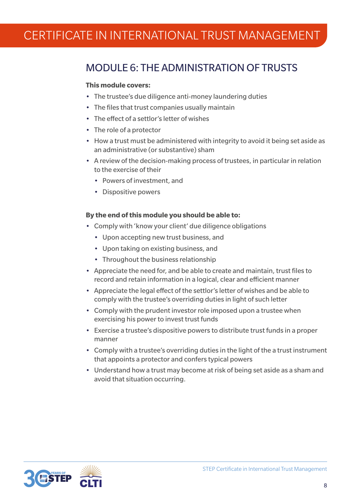### MODULE 6: THE ADMINISTRATION OF TRUSTS

#### **This module covers:**

- The trustee's due diligence anti-money laundering duties
- The files that trust companies usually maintain
- The effect of a settlor's letter of wishes
- The role of a protector
- How a trust must be administered with integrity to avoid it being set aside as an administrative (or substantive) sham
- A review of the decision-making process of trustees, in particular in relation to the exercise of their
	- Powers of investment, and
	- Dispositive powers

- Comply with 'know your client' due diligence obligations
	- Upon accepting new trust business, and
	- Upon taking on existing business, and
	- Throughout the business relationship
- Appreciate the need for, and be able to create and maintain, trust files to record and retain information in a logical, clear and efficient manner
- Appreciate the legal effect of the settlor's letter of wishes and be able to comply with the trustee's overriding duties in light of such letter
- Comply with the prudent investor role imposed upon a trustee when exercising his power to invest trust funds
- Exercise a trustee's dispositive powers to distribute trust funds in a proper manner
- Comply with a trustee's overriding duties in the light of the a trust instrument that appoints a protector and confers typical powers
- Understand how a trust may become at risk of being set aside as a sham and avoid that situation occurring.

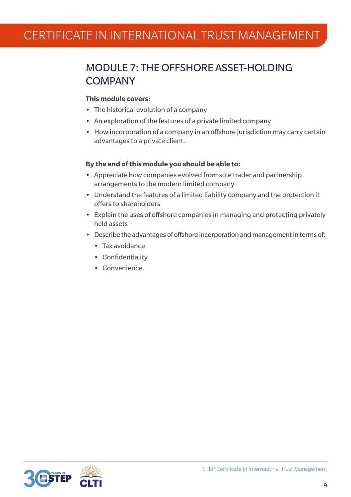### MODULE 7: THE OFFSHORE ASSET-HOLDING **COMPANY**

### **This module covers:**

- The historical evolution of a company
- An exploration of the features of a private limited company
- How incorporation of a company in an offshore jurisdiction may carry certain advantages to a private client.

- Appreciate how companies evolved from sole trader and partnership arrangements to the modern limited company
- Understand the features of a limited liability company and the protection it offers to shareholders
- Explain the uses of offshore companies in managing and protecting privately held assets
- Describe the advantages of offshore incorporation and management in terms of:
	- Tax avoidance
	- Confidentiality
	- Convenience.

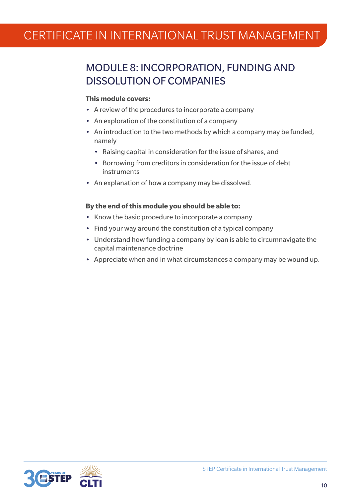### MODULE 8: INCORPORATION, FUNDING AND DISSOLUTION OF COMPANIES

#### **This module covers:**

- A review of the procedures to incorporate a company
- An exploration of the constitution of a company
- An introduction to the two methods by which a company may be funded, namely
	- Raising capital in consideration for the issue of shares, and
	- Borrowing from creditors in consideration for the issue of debt instruments
- An explanation of how a company may be dissolved.

- Know the basic procedure to incorporate a company
- Find your way around the constitution of a typical company
- Understand how funding a company by loan is able to circumnavigate the capital maintenance doctrine
- Appreciate when and in what circumstances a company may be wound up.

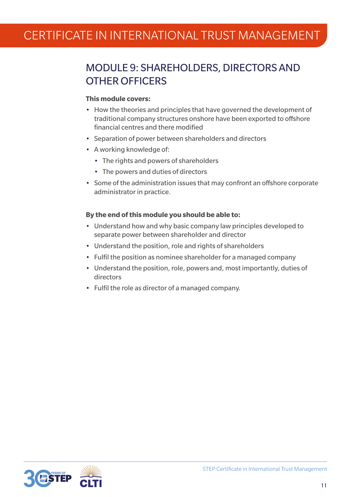### MODULE 9: SHAREHOLDERS, DIRECTORS AND OTHER OFFICERS

### **This module covers:**

- How the theories and principles that have governed the development of traditional company structures onshore have been exported to offshore financial centres and there modified
- Separation of power between shareholders and directors
- A working knowledge of:
	- The rights and powers of shareholders
	- The powers and duties of directors
- Some of the administration issues that may confront an offshore corporate administrator in practice.

- Understand how and why basic company law principles developed to separate power between shareholder and director
- Understand the position, role and rights of shareholders
- Fulfil the position as nominee shareholder for a managed company
- Understand the position, role, powers and, most importantly, duties of directors
- Fulfil the role as director of a managed company.

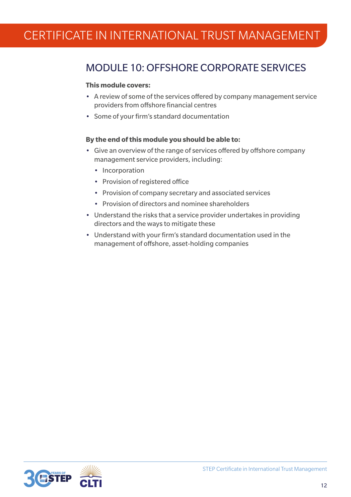### MODULE 10: OFFSHORE CORPORATE SERVICES

#### **This module covers:**

- A review of some of the services offered by company management service providers from offshore financial centres
- Some of your firm's standard documentation

- Give an overview of the range of services offered by offshore company management service providers, including:
	- Incorporation
	- Provision of registered office
	- Provision of company secretary and associated services
	- Provision of directors and nominee shareholders
- Understand the risks that a service provider undertakes in providing directors and the ways to mitigate these
- Understand with your firm's standard documentation used in the management of offshore, asset-holding companies